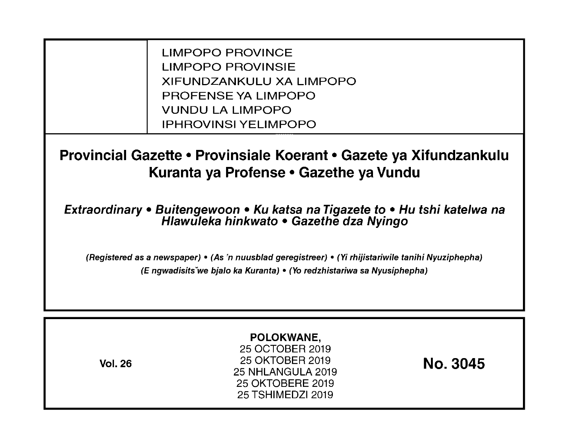LIMPOPO PROVINCE LIMPOPO PROVINSIE XIFUNDZANKULU XA LIMPOPO PROFENSE YA LIMPOPO VUNDU LA LIMPOPO IPHROVINSI YELIMPOPO

**Provincial Gazette • Provinsiale Koerant • Gazete ya Xifundzankulu Kuranta ya Profense • Gazethe ya Vundu** 

**Extraordinary • Buitengewoon • Ku katsa na Tigazete to • Hu tshi katelwa na Hlawuleka hinkwato • Gazethe dza Nyingo** 

(Registered as a newspaper) • (As 'n nuusblad geregistreer) • (Yi rhijistariwile tanihi Nyuziphepha) (E ngwadisitsVwe bjalo ka Kuranta) • (Yo redzhistariwa sa Nyusiphepha)

| <b>Vol. 26</b> | POLOKWANE,<br>25 OCTOBER 2019<br>25 OKTOBER 2019<br>25 NHLANGULA 2019<br>25 OKTOBERE 2019<br>25 TSHIMEDZI 2019 | <b>No. 3045</b> |
|----------------|----------------------------------------------------------------------------------------------------------------|-----------------|
|----------------|----------------------------------------------------------------------------------------------------------------|-----------------|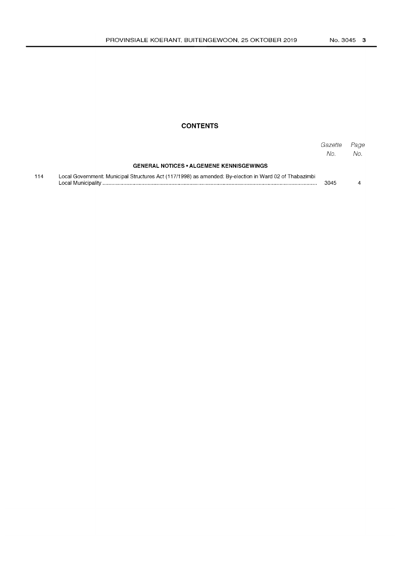## **CONTENTS**

|     |                                                                                                        | Gazette<br>No. | Page<br>No. |
|-----|--------------------------------------------------------------------------------------------------------|----------------|-------------|
|     | <b>GENERAL NOTICES • ALGEMENE KENNISGEWINGS</b>                                                        |                |             |
| 114 | Local Government: Municipal Structures Act (117/1998) as amended: By-election in Ward 02 of Thabazimbi | 3045           |             |